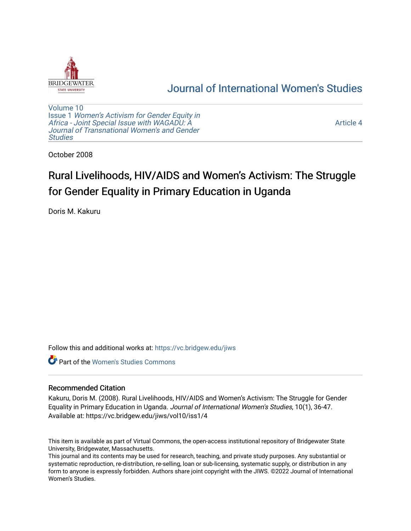

# [Journal of International Women's Studies](https://vc.bridgew.edu/jiws)

[Volume 10](https://vc.bridgew.edu/jiws/vol10) Issue 1 [Women's Activism for Gender Equity in](https://vc.bridgew.edu/jiws/vol10/iss1)  [Africa - Joint Special Issue with WAGADU: A](https://vc.bridgew.edu/jiws/vol10/iss1)  [Journal of Transnational Women's and Gender](https://vc.bridgew.edu/jiws/vol10/iss1)  **Studies** 

[Article 4](https://vc.bridgew.edu/jiws/vol10/iss1/4) 

October 2008

# Rural Livelihoods, HIV/AIDS and Women's Activism: The Struggle for Gender Equality in Primary Education in Uganda

Doris M. Kakuru

Follow this and additional works at: [https://vc.bridgew.edu/jiws](https://vc.bridgew.edu/jiws?utm_source=vc.bridgew.edu%2Fjiws%2Fvol10%2Fiss1%2F4&utm_medium=PDF&utm_campaign=PDFCoverPages)

**C** Part of the Women's Studies Commons

#### Recommended Citation

Kakuru, Doris M. (2008). Rural Livelihoods, HIV/AIDS and Women's Activism: The Struggle for Gender Equality in Primary Education in Uganda. Journal of International Women's Studies, 10(1), 36-47. Available at: https://vc.bridgew.edu/jiws/vol10/iss1/4

This item is available as part of Virtual Commons, the open-access institutional repository of Bridgewater State University, Bridgewater, Massachusetts.

This journal and its contents may be used for research, teaching, and private study purposes. Any substantial or systematic reproduction, re-distribution, re-selling, loan or sub-licensing, systematic supply, or distribution in any form to anyone is expressly forbidden. Authors share joint copyright with the JIWS. ©2022 Journal of International Women's Studies.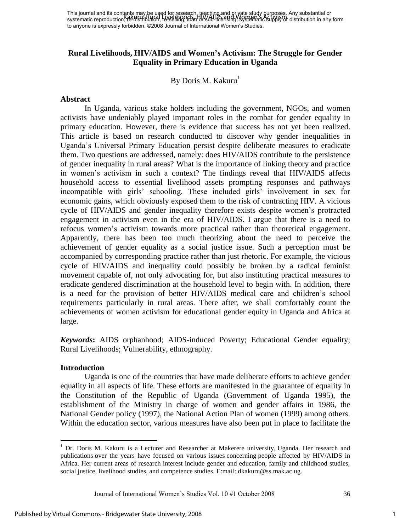## **Rural Livelihoods, HIV/AIDS and Women's Activism: The Struggle for Gender Equality in Primary Education in Uganda**

By Doris M. Kakuru<sup>1</sup>

#### **Abstract**

In Uganda, various stake holders including the government, NGOs, and women activists have undeniably played important roles in the combat for gender equality in primary education. However, there is evidence that success has not yet been realized. This article is based on research conducted to discover why gender inequalities in Uganda"s Universal Primary Education persist despite deliberate measures to eradicate them. Two questions are addressed, namely: does HIV/AIDS contribute to the persistence of gender inequality in rural areas? What is the importance of linking theory and practice in women"s activism in such a context? The findings reveal that HIV/AIDS affects household access to essential livelihood assets prompting responses and pathways incompatible with girls' schooling. These included girls' involvement in sex for economic gains, which obviously exposed them to the risk of contracting HIV. A vicious cycle of HIV/AIDS and gender inequality therefore exists despite women"s protracted engagement in activism even in the era of HIV/AIDS. I argue that there is a need to refocus women's activism towards more practical rather than theoretical engagement. Apparently, there has been too much theorizing about the need to perceive the achievement of gender equality as a social justice issue. Such a perception must be accompanied by corresponding practice rather than just rhetoric. For example, the vicious cycle of HIV/AIDS and inequality could possibly be broken by a radical feminist movement capable of, not only advocating for, but also instituting practical measures to eradicate gendered discrimination at the household level to begin with. In addition, there is a need for the provision of better HIV/AIDS medical care and children"s school requirements particularly in rural areas. There after, we shall comfortably count the achievements of women activism for educational gender equity in Uganda and Africa at large.

*Keywords***:** AIDS orphanhood; AIDS-induced Poverty; Educational Gender equality; Rural Livelihoods; Vulnerability, ethnography.

### **Introduction**

 $\overline{a}$ 

Uganda is one of the countries that have made deliberate efforts to achieve gender equality in all aspects of life. These efforts are manifested in the guarantee of equality in the Constitution of the Republic of Uganda (Government of Uganda 1995), the establishment of the Ministry in charge of women and gender affairs in 1986, the National Gender policy (1997), the National Action Plan of women (1999) among others. Within the education sector, various measures have also been put in place to facilitate the

<sup>&</sup>lt;sup>1</sup> Dr. Doris M. Kakuru is a Lecturer and Researcher at Makerere university, Uganda. Her research and publications over the years have focused on various issues concerning people affected by HIV/AIDS in Africa. Her current areas of research interest include gender and education, family and childhood studies, social justice, livelihood studies, and competence studies. E:mail: dkakuru@ss.mak.ac.ug.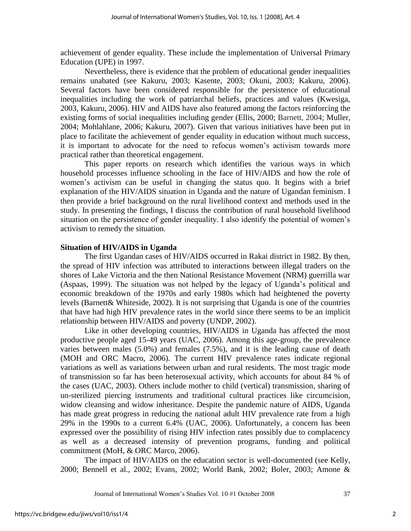achievement of gender equality. These include the implementation of Universal Primary Education (UPE) in 1997.

Nevertheless, there is evidence that the problem of educational gender inequalities remains unabated (see Kakuru, 2003; Kasente, 2003; Okuni, 2003; Kakuru, 2006). Several factors have been considered responsible for the persistence of educational inequalities including the work of patriarchal beliefs, practices and values (Kwesiga, 2003, Kakuru, 2006). HIV and AIDS have also featured among the factors reinforcing the existing forms of social inequalities including gender (Ellis, 2000; Barnett, 2004; Muller, 2004; Mohlahlane, 2006; Kakuru, 2007). Given that various initiatives have been put in place to facilitate the achievement of gender equality in education without much success, it is important to advocate for the need to refocus women's activism towards more practical rather than theoretical engagement.

This paper reports on research which identifies the various ways in which household processes influence schooling in the face of HIV/AIDS and how the role of women's activism can be useful in changing the status quo. It begins with a brief explanation of the HIV/AIDS situation in Uganda and the nature of Ugandan feminism. I then provide a brief background on the rural livelihood context and methods used in the study. In presenting the findings, I discuss the contribution of rural household livelihood situation on the persistence of gender inequality. I also identify the potential of women's activism to remedy the situation.

#### **Situation of HIV/AIDS in Uganda**

The first Ugandan cases of HIV/AIDS occurred in Rakai district in 1982. By then, the spread of HIV infection was attributed to interactions between illegal traders on the shores of Lake Victoria and the then National Resistance Movement (NRM) guerrilla war (Aspaas, 1999). The situation was not helped by the legacy of Uganda"s political and economic breakdown of the 1970s and early 1980s which had heightened the poverty levels (Barnett& Whiteside, 2002). It is not surprising that Uganda is one of the countries that have had high HIV prevalence rates in the world since there seems to be an implicit relationship between HIV/AIDS and poverty (UNDP, 2002).

Like in other developing countries, HIV/AIDS in Uganda has affected the most productive people aged 15-49 years (UAC, 2006). Among this age-group, the prevalence varies between males (5.0%) and females (7.5%), and it is the leading cause of death (MOH and ORC Macro, 2006). The current HIV prevalence rates indicate regional variations as well as variations between urban and rural residents. The most tragic mode of transmission so far has been heterosexual activity, which accounts for about 84 % of the cases (UAC, 2003). Others include mother to child (vertical) transmission, sharing of un-sterilized piercing instruments and traditional cultural practices like circumcision, widow cleansing and widow inheritance. Despite the pandemic nature of AIDS, Uganda has made great progress in reducing the national adult HIV prevalence rate from a high 29% in the 1990s to a current 6.4% (UAC, 2006). Unfortunately, a concern has been expressed over the possibility of rising HIV infection rates possibly due to complacency as well as a decreased intensity of prevention programs, funding and political commitment (MoH, & ORC Marco, 2006).

The impact of HIV/AIDS on the education sector is well-documented (see Kelly, 2000; Bennell et al., 2002; Evans, 2002; World Bank, 2002; Boler, 2003; Amone &

Journal of International Women"s Studies Vol. 10 #1 October 2008 37

2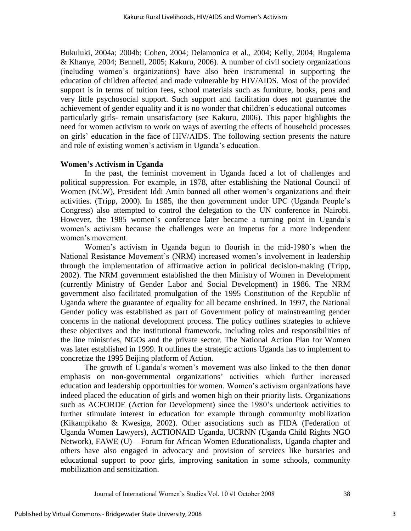Bukuluki, 2004a; 2004b; Cohen, 2004; Delamonica et al., 2004; Kelly, 2004; Rugalema & Khanye, 2004; Bennell, 2005; Kakuru, 2006). A number of civil society organizations (including women"s organizations) have also been instrumental in supporting the education of children affected and made vulnerable by HIV/AIDS. Most of the provided support is in terms of tuition fees, school materials such as furniture, books, pens and very little psychosocial support. Such support and facilitation does not guarantee the achievement of gender equality and it is no wonder that children"s educational outcomes– particularly girls- remain unsatisfactory (see Kakuru, 2006). This paper highlights the need for women activism to work on ways of averting the effects of household processes on girls" education in the face of HIV/AIDS. The following section presents the nature and role of existing women"s activism in Uganda"s education.

#### **Women's Activism in Uganda**

In the past, the feminist movement in Uganda faced a lot of challenges and political suppression. For example, in 1978, after establishing the National Council of Women (NCW), President Iddi Amin banned all other women"s organizations and their activities. (Tripp, 2000). In 1985, the then government under UPC (Uganda People"s Congress) also attempted to control the delegation to the UN conference in Nairobi. However, the 1985 women's conference later became a turning point in Uganda's women's activism because the challenges were an impetus for a more independent women"s movement.

Women"s activism in Uganda begun to flourish in the mid-1980"s when the National Resistance Movement's (NRM) increased women's involvement in leadership through the implementation of affirmative action in political decision-making (Tripp, 2002). The NRM government established the then Ministry of Women in Development (currently Ministry of Gender Labor and Social Development) in 1986. The NRM government also facilitated promulgation of the 1995 Constitution of the Republic of Uganda where the guarantee of equality for all became enshrined. In 1997, the National Gender policy was established as part of Government policy of mainstreaming gender concerns in the national development process. The policy outlines strategies to achieve these objectives and the institutional framework, including roles and responsibilities of the line ministries, NGOs and the private sector. The National Action Plan for Women was later established in 1999. It outlines the strategic actions Uganda has to implement to concretize the 1995 Beijing platform of Action.

The growth of Uganda's women's movement was also linked to the then donor emphasis on non-governmental organizations' activities which further increased education and leadership opportunities for women. Women"s activism organizations have indeed placed the education of girls and women high on their priority lists. Organizations such as ACFORDE (Action for Development) since the 1980"s undertook activities to further stimulate interest in education for example through community mobilization (Kikampikaho & Kwesiga, 2002). Other associations such as FIDA (Federation of Uganda Women Lawyers), ACTIONAID Uganda, UCRNN (Uganda Child Rights NGO Network), FAWE (U) – Forum for African Women Educationalists, Uganda chapter and others have also engaged in advocacy and provision of services like bursaries and educational support to poor girls, improving sanitation in some schools, community mobilization and sensitization.

3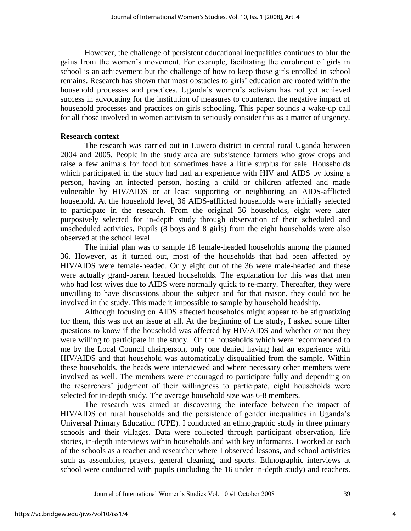However, the challenge of persistent educational inequalities continues to blur the gains from the women"s movement. For example, facilitating the enrolment of girls in school is an achievement but the challenge of how to keep those girls enrolled in school remains. Research has shown that most obstacles to girls' education are rooted within the household processes and practices. Uganda"s women"s activism has not yet achieved success in advocating for the institution of measures to counteract the negative impact of household processes and practices on girls schooling. This paper sounds a wake-up call for all those involved in women activism to seriously consider this as a matter of urgency.

#### **Research context**

The research was carried out in Luwero district in central rural Uganda between 2004 and 2005. People in the study area are subsistence farmers who grow crops and raise a few animals for food but sometimes have a little surplus for sale. Households which participated in the study had had an experience with HIV and AIDS by losing a person, having an infected person, hosting a child or children affected and made vulnerable by HIV/AIDS or at least supporting or neighboring an AIDS-afflicted household. At the household level, 36 AIDS-afflicted households were initially selected to participate in the research. From the original 36 households, eight were later purposively selected for in-depth study through observation of their scheduled and unscheduled activities. Pupils (8 boys and 8 girls) from the eight households were also observed at the school level.

The initial plan was to sample 18 female-headed households among the planned 36. However, as it turned out, most of the households that had been affected by HIV/AIDS were female-headed. Only eight out of the 36 were male-headed and these were actually grand-parent headed households. The explanation for this was that men who had lost wives due to AIDS were normally quick to re-marry. Thereafter, they were unwilling to have discussions about the subject and for that reason, they could not be involved in the study. This made it impossible to sample by household headship.

Although focusing on AIDS affected households might appear to be stigmatizing for them, this was not an issue at all. At the beginning of the study, I asked some filter questions to know if the household was affected by HIV/AIDS and whether or not they were willing to participate in the study. Of the households which were recommended to me by the Local Council chairperson, only one denied having had an experience with HIV/AIDS and that household was automatically disqualified from the sample. Within these households, the heads were interviewed and where necessary other members were involved as well. The members were encouraged to participate fully and depending on the researchers" judgment of their willingness to participate, eight households were selected for in-depth study. The average household size was 6-8 members.

The research was aimed at discovering the interface between the impact of HIV/AIDS on rural households and the persistence of gender inequalities in Uganda"s Universal Primary Education (UPE). I conducted an ethnographic study in three primary schools and their villages. Data were collected through participant observation, life stories, in-depth interviews within households and with key informants. I worked at each of the schools as a teacher and researcher where I observed lessons, and school activities such as assemblies, prayers, general cleaning, and sports. Ethnographic interviews at school were conducted with pupils (including the 16 under in-depth study) and teachers.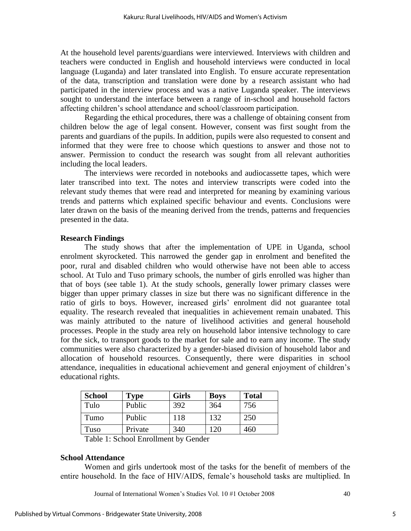At the household level parents/guardians were interviewed. Interviews with children and teachers were conducted in English and household interviews were conducted in local language (Luganda) and later translated into English. To ensure accurate representation of the data, transcription and translation were done by a research assistant who had participated in the interview process and was a native Luganda speaker. The interviews sought to understand the interface between a range of in-school and household factors affecting children"s school attendance and school/classroom participation.

Regarding the ethical procedures, there was a challenge of obtaining consent from children below the age of legal consent. However, consent was first sought from the parents and guardians of the pupils. In addition, pupils were also requested to consent and informed that they were free to choose which questions to answer and those not to answer. Permission to conduct the research was sought from all relevant authorities including the local leaders.

The interviews were recorded in notebooks and audiocassette tapes, which were later transcribed into text. The notes and interview transcripts were coded into the relevant study themes that were read and interpreted for meaning by examining various trends and patterns which explained specific behaviour and events. Conclusions were later drawn on the basis of the meaning derived from the trends, patterns and frequencies presented in the data.

#### **Research Findings**

The study shows that after the implementation of UPE in Uganda, school enrolment skyrocketed. This narrowed the gender gap in enrolment and benefited the poor, rural and disabled children who would otherwise have not been able to access school. At Tulo and Tuso primary schools, the number of girls enrolled was higher than that of boys (see table 1). At the study schools, generally lower primary classes were bigger than upper primary classes in size but there was no significant difference in the ratio of girls to boys. However, increased girls' enrolment did not guarantee total equality. The research revealed that inequalities in achievement remain unabated. This was mainly attributed to the nature of livelihood activities and general household processes. People in the study area rely on household labor intensive technology to care for the sick, to transport goods to the market for sale and to earn any income. The study communities were also characterized by a gender-biased division of household labor and allocation of household resources. Consequently, there were disparities in school attendance, inequalities in educational achievement and general enjoyment of children"s educational rights.

| <b>School</b> | <b>Type</b> | <b>Girls</b> | <b>Boys</b> | <b>Total</b> |
|---------------|-------------|--------------|-------------|--------------|
| Tulo          | Public      | 392          | 364         | 756          |
| Tumo          | Public      | 118          | 132         | 250          |
| Tuso          | Private     | 340          | $\gamma$    | 460          |

Table 1: School Enrollment by Gender

#### **School Attendance**

Women and girls undertook most of the tasks for the benefit of members of the entire household. In the face of HIV/AIDS, female's household tasks are multiplied. In

Journal of International Women"s Studies Vol. 10 #1 October 2008 40

5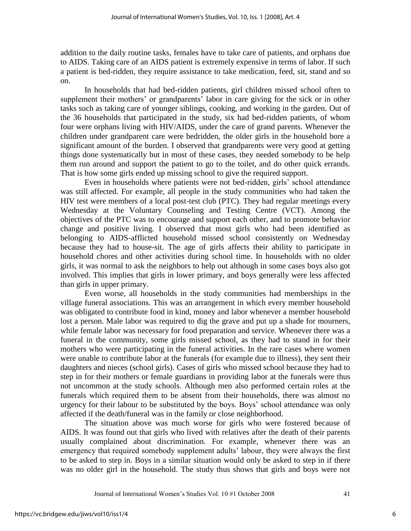addition to the daily routine tasks, females have to take care of patients, and orphans due to AIDS. Taking care of an AIDS patient is extremely expensive in terms of labor. If such a patient is bed-ridden, they require assistance to take medication, feed, sit, stand and so on.

In households that had bed-ridden patients, girl children missed school often to supplement their mothers' or grandparents' labor in care giving for the sick or in other tasks such as taking care of younger siblings, cooking, and working in the garden. Out of the 36 households that participated in the study, six had bed-ridden patients, of whom four were orphans living with HIV/AIDS, under the care of grand parents. Whenever the children under grandparent care were bedridden, the older girls in the household bore a significant amount of the burden. I observed that grandparents were very good at getting things done systematically but in most of these cases, they needed somebody to be help them run around and support the patient to go to the toilet, and do other quick errands. That is how some girls ended up missing school to give the required support.

Even in households where patients were not bed-ridden, girls" school attendance was still affected. For example, all people in the study communities who had taken the HIV test were members of a local post-test club (PTC). They had regular meetings every Wednesday at the Voluntary Counseling and Testing Centre (VCT). Among the objectives of the PTC was to encourage and support each other, and to promote behavior change and positive living. I observed that most girls who had been identified as belonging to AIDS-afflicted household missed school consistently on Wednesday because they had to house-sit. The age of girls affects their ability to participate in household chores and other activities during school time. In households with no older girls, it was normal to ask the neighbors to help out although in some cases boys also got involved. This implies that girls in lower primary, and boys generally were less affected than girls in upper primary.

Even worse, all households in the study communities had memberships in the village funeral associations. This was an arrangement in which every member household was obligated to contribute food in kind, money and labor whenever a member household lost a person. Male labor was required to dig the grave and put up a shade for mourners, while female labor was necessary for food preparation and service. Whenever there was a funeral in the community, some girls missed school, as they had to stand in for their mothers who were participating in the funeral activities. In the rare cases where women were unable to contribute labor at the funerals (for example due to illness), they sent their daughters and nieces (school girls). Cases of girls who missed school because they had to step in for their mothers or female guardians in providing labor at the funerals were thus not uncommon at the study schools. Although men also performed certain roles at the funerals which required them to be absent from their households, there was almost no urgency for their labour to be substituted by the boys. Boys" school attendance was only affected if the death/funeral was in the family or close neighborhood.

The situation above was much worse for girls who were fostered because of AIDS. It was found out that girls who lived with relatives after the death of their parents usually complained about discrimination. For example, whenever there was an emergency that required somebody supplement adults' labour, they were always the first to be asked to step in. Boys in a similar situation would only be asked to step in if there was no older girl in the household. The study thus shows that girls and boys were not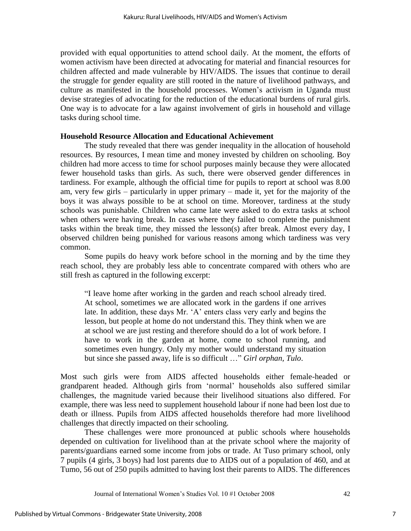provided with equal opportunities to attend school daily. At the moment, the efforts of women activism have been directed at advocating for material and financial resources for children affected and made vulnerable by HIV/AIDS. The issues that continue to derail the struggle for gender equality are still rooted in the nature of livelihood pathways, and culture as manifested in the household processes. Women"s activism in Uganda must devise strategies of advocating for the reduction of the educational burdens of rural girls. One way is to advocate for a law against involvement of girls in household and village tasks during school time.

#### **Household Resource Allocation and Educational Achievement**

The study revealed that there was gender inequality in the allocation of household resources. By resources, I mean time and money invested by children on schooling. Boy children had more access to time for school purposes mainly because they were allocated fewer household tasks than girls. As such, there were observed gender differences in tardiness. For example, although the official time for pupils to report at school was 8.00 am, very few girls – particularly in upper primary – made it, yet for the majority of the boys it was always possible to be at school on time. Moreover, tardiness at the study schools was punishable. Children who came late were asked to do extra tasks at school when others were having break. In cases where they failed to complete the punishment tasks within the break time, they missed the lesson(s) after break. Almost every day, I observed children being punished for various reasons among which tardiness was very common.

Some pupils do heavy work before school in the morning and by the time they reach school, they are probably less able to concentrate compared with others who are still fresh as captured in the following excerpt:

"I leave home after working in the garden and reach school already tired. At school, sometimes we are allocated work in the gardens if one arrives late. In addition, these days Mr. "A" enters class very early and begins the lesson, but people at home do not understand this. They think when we are at school we are just resting and therefore should do a lot of work before. I have to work in the garden at home, come to school running, and sometimes even hungry. Only my mother would understand my situation but since she passed away, life is so difficult …" *Girl orphan, Tulo*.

Most such girls were from AIDS affected households either female-headed or grandparent headed. Although girls from "normal" households also suffered similar challenges, the magnitude varied because their livelihood situations also differed. For example, there was less need to supplement household labour if none had been lost due to death or illness. Pupils from AIDS affected households therefore had more livelihood challenges that directly impacted on their schooling.

These challenges were more pronounced at public schools where households depended on cultivation for livelihood than at the private school where the majority of parents/guardians earned some income from jobs or trade. At Tuso primary school, only 7 pupils (4 girls, 3 boys) had lost parents due to AIDS out of a population of 460, and at Tumo, 56 out of 250 pupils admitted to having lost their parents to AIDS. The differences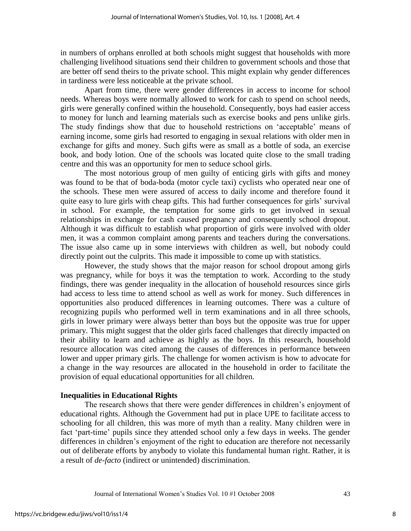in numbers of orphans enrolled at both schools might suggest that households with more challenging livelihood situations send their children to government schools and those that are better off send theirs to the private school. This might explain why gender differences in tardiness were less noticeable at the private school.

Apart from time, there were gender differences in access to income for school needs. Whereas boys were normally allowed to work for cash to spend on school needs, girls were generally confined within the household. Consequently, boys had easier access to money for lunch and learning materials such as exercise books and pens unlike girls. The study findings show that due to household restrictions on "acceptable" means of earning income, some girls had resorted to engaging in sexual relations with older men in exchange for gifts and money. Such gifts were as small as a bottle of soda, an exercise book, and body lotion. One of the schools was located quite close to the small trading centre and this was an opportunity for men to seduce school girls.

The most notorious group of men guilty of enticing girls with gifts and money was found to be that of boda-boda (motor cycle taxi) cyclists who operated near one of the schools. These men were assured of access to daily income and therefore found it quite easy to lure girls with cheap gifts. This had further consequences for girls" survival in school. For example, the temptation for some girls to get involved in sexual relationships in exchange for cash caused pregnancy and consequently school dropout. Although it was difficult to establish what proportion of girls were involved with older men, it was a common complaint among parents and teachers during the conversations. The issue also came up in some interviews with children as well, but nobody could directly point out the culprits. This made it impossible to come up with statistics.

However, the study shows that the major reason for school dropout among girls was pregnancy, while for boys it was the temptation to work. According to the study findings, there was gender inequality in the allocation of household resources since girls had access to less time to attend school as well as work for money. Such differences in opportunities also produced differences in learning outcomes. There was a culture of recognizing pupils who performed well in term examinations and in all three schools, girls in lower primary were always better than boys but the opposite was true for upper primary. This might suggest that the older girls faced challenges that directly impacted on their ability to learn and achieve as highly as the boys. In this research, household resource allocation was cited among the causes of differences in performance between lower and upper primary girls. The challenge for women activism is how to advocate for a change in the way resources are allocated in the household in order to facilitate the provision of equal educational opportunities for all children.

#### **Inequalities in Educational Rights**

The research shows that there were gender differences in children"s enjoyment of educational rights. Although the Government had put in place UPE to facilitate access to schooling for all children, this was more of myth than a reality. Many children were in fact 'part-time' pupils since they attended school only a few days in weeks. The gender differences in children's enjoyment of the right to education are therefore not necessarily out of deliberate efforts by anybody to violate this fundamental human right. Rather, it is a result of *de-facto* (indirect or unintended) discrimination.

Journal of International Women"s Studies Vol. 10 #1 October 2008 43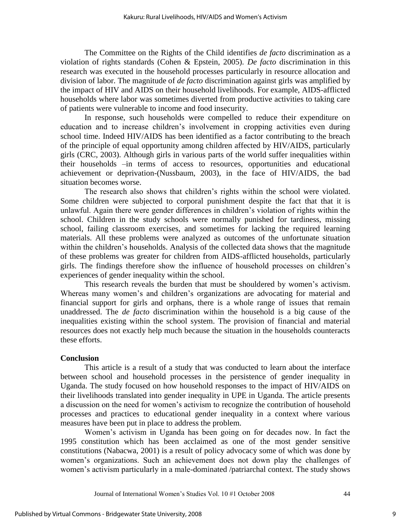The Committee on the Rights of the Child identifies *de facto* discrimination as a violation of rights standards (Cohen & Epstein, 2005). *De facto* discrimination in this research was executed in the household processes particularly in resource allocation and division of labor. The magnitude of *de facto* discrimination against girls was amplified by the impact of HIV and AIDS on their household livelihoods. For example, AIDS-afflicted households where labor was sometimes diverted from productive activities to taking care of patients were vulnerable to income and food insecurity.

In response, such households were compelled to reduce their expenditure on education and to increase children"s involvement in cropping activities even during school time. Indeed HIV/AIDS has been identified as a factor contributing to the breach of the principle of equal opportunity among children affected by HIV/AIDS, particularly girls (CRC, 2003). Although girls in various parts of the world suffer inequalities within their households –in terms of access to resources, opportunities and educational achievement or deprivation-(Nussbaum, 2003), in the face of HIV/AIDS, the bad situation becomes worse.

The research also shows that children"s rights within the school were violated. Some children were subjected to corporal punishment despite the fact that that it is unlawful. Again there were gender differences in children"s violation of rights within the school. Children in the study schools were normally punished for tardiness, missing school, failing classroom exercises, and sometimes for lacking the required learning materials. All these problems were analyzed as outcomes of the unfortunate situation within the children"s households. Analysis of the collected data shows that the magnitude of these problems was greater for children from AIDS-afflicted households, particularly girls. The findings therefore show the influence of household processes on children"s experiences of gender inequality within the school.

This research reveals the burden that must be shouldered by women's activism. Whereas many women's and children's organizations are advocating for material and financial support for girls and orphans, there is a whole range of issues that remain unaddressed. The *de facto* discrimination within the household is a big cause of the inequalities existing within the school system. The provision of financial and material resources does not exactly help much because the situation in the households counteracts these efforts.

#### **Conclusion**

This article is a result of a study that was conducted to learn about the interface between school and household processes in the persistence of gender inequality in Uganda. The study focused on how household responses to the impact of HIV/AIDS on their livelihoods translated into gender inequality in UPE in Uganda. The article presents a discussion on the need for women's activism to recognize the contribution of household processes and practices to educational gender inequality in a context where various measures have been put in place to address the problem.

Women's activism in Uganda has been going on for decades now. In fact the 1995 constitution which has been acclaimed as one of the most gender sensitive constitutions (Nabacwa, 2001) is a result of policy advocacy some of which was done by women"s organizations. Such an achievement does not down play the challenges of women"s activism particularly in a male-dominated /patriarchal context. The study shows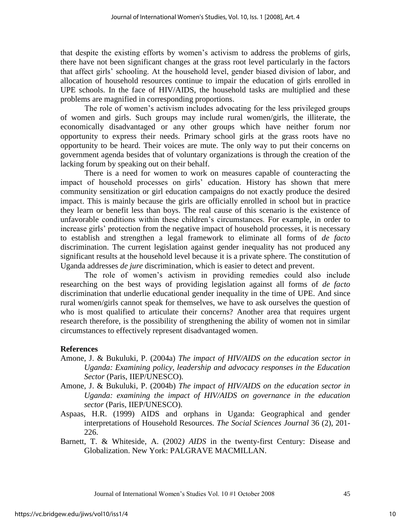that despite the existing efforts by women"s activism to address the problems of girls, there have not been significant changes at the grass root level particularly in the factors that affect girls" schooling. At the household level, gender biased division of labor, and allocation of household resources continue to impair the education of girls enrolled in UPE schools. In the face of HIV/AIDS, the household tasks are multiplied and these problems are magnified in corresponding proportions.

The role of women's activism includes advocating for the less privileged groups of women and girls. Such groups may include rural women/girls, the illiterate, the economically disadvantaged or any other groups which have neither forum nor opportunity to express their needs. Primary school girls at the grass roots have no opportunity to be heard. Their voices are mute. The only way to put their concerns on government agenda besides that of voluntary organizations is through the creation of the lacking forum by speaking out on their behalf.

There is a need for women to work on measures capable of counteracting the impact of household processes on girls" education. History has shown that mere community sensitization or girl education campaigns do not exactly produce the desired impact. This is mainly because the girls are officially enrolled in school but in practice they learn or benefit less than boys. The real cause of this scenario is the existence of unfavorable conditions within these children"s circumstances. For example, in order to increase girls' protection from the negative impact of household processes, it is necessary to establish and strengthen a legal framework to eliminate all forms of *de facto*  discrimination. The current legislation against gender inequality has not produced any significant results at the household level because it is a private sphere. The constitution of Uganda addresses *de jure* discrimination, which is easier to detect and prevent.

The role of women"s activism in providing remedies could also include researching on the best ways of providing legislation against all forms of *de facto* discrimination that underlie educational gender inequality in the time of UPE. And since rural women/girls cannot speak for themselves, we have to ask ourselves the question of who is most qualified to articulate their concerns? Another area that requires urgent research therefore, is the possibility of strengthening the ability of women not in similar circumstances to effectively represent disadvantaged women.

# **References**

- Amone, J. & Bukuluki, P. (2004a) *The impact of HIV/AIDS on the education sector in Uganda: Examining policy, leadership and advocacy responses in the Education Sector* (Paris, IIEP/UNESCO).
- Amone, J. & Bukuluki, P. (2004b) *The impact of HIV/AIDS on the education sector in Uganda: examining the impact of HIV/AIDS on governance in the education sector* (Paris, IIEP/UNESCO).
- Aspaas, H.R. (1999) AIDS and orphans in Uganda: Geographical and gender interpretations of Household Resources. *The Social Sciences Journal* 36 (2), 201- 226.
- Barnett, T. & Whiteside, A. (2002*) AIDS* in the twenty-first Century: Disease and Globalization. New York: PALGRAVE MACMILLAN.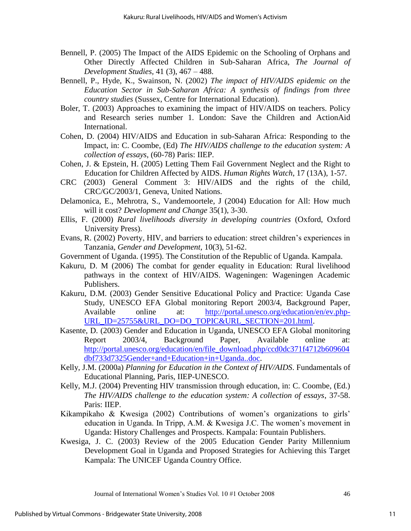- Bennell, P. (2005) The Impact of the AIDS Epidemic on the Schooling of Orphans and Other Directly Affected Children in Sub-Saharan Africa, *The Journal of Development Studies,* 41 (3), 467 – 488.
- Bennell, P., Hyde, K., Swainson, N. (2002) *The impact of HIV/AIDS epidemic on the Education Sector in Sub-Saharan Africa: A synthesis of findings from three country studies* (Sussex, Centre for International Education).
- Boler, T. (2003) Approaches to examining the impact of HIV/AIDS on teachers. Policy and Research series number 1. London: Save the Children and ActionAid International.
- Cohen, D. (2004) HIV/AIDS and Education in sub-Saharan Africa: Responding to the Impact, in: C. Coombe, (Ed) *The HIV/AIDS challenge to the education system: A collection of essays*, (60-78) Paris: IIEP.
- Cohen, J. & Epstein, H. (2005) Letting Them Fail Government Neglect and the Right to Education for Children Affected by AIDS. *Human Rights Watch*, 17 (13A), 1-57.
- CRC (2003) General Comment 3: HIV/AIDS and the rights of the child, CRC/GC/2003/1, Geneva, United Nations.
- Delamonica, E., Mehrotra, S., Vandemoortele, J (2004) Education for All: How much will it cost? *Development and Change* 35(1), 3-30.
- Ellis, F. (2000) *Rural livelihoods diversity in developing countries* (Oxford, Oxford University Press).
- Evans, R. (2002) Poverty, HIV, and barriers to education: street children"s experiences in Tanzania, *Gender and Development,* 10(3), 51-62.
- Government of Uganda. (1995). The Constitution of the Republic of Uganda. Kampala.
- Kakuru, D. M (2006) The combat for gender equality in Education: Rural livelihood pathways in the context of HIV/AIDS. Wageningen: Wageningen Academic Publishers.
- Kakuru, D.M. (2003) Gender Sensitive Educational Policy and Practice: Uganda Case Study, UNESCO EFA Global monitoring Report 2003/4, Background Paper, Available online at: [http://portal.unesco.org/education/en/ev.php-](http://portal.unesco.org/education/en/ev.php-URL_ID=25755&URL_DO=DO_TOPIC&URL_SECTION=201.html)[URL\\_ID=25755&URL\\_DO=DO\\_TOPIC&URL\\_SECTION=201.html.](http://portal.unesco.org/education/en/ev.php-URL_ID=25755&URL_DO=DO_TOPIC&URL_SECTION=201.html)
- Kasente, D. (2003) Gender and Education in Uganda, UNESCO EFA Global monitoring Report 2003/4, Background Paper, Available online at: [http://portal.unesco.org/education/en/file\\_download.php/ccd0dc371f4712b609604](http://portal.unesco.org/education/en/file_download.php/ccd0dc371f4712b609604dbf733d7325Gender+and+Education+in+Uganda..doc) [dbf733d7325Gender+and+Education+in+Uganda..doc.](http://portal.unesco.org/education/en/file_download.php/ccd0dc371f4712b609604dbf733d7325Gender+and+Education+in+Uganda..doc)
- Kelly, J.M. (2000a) *Planning for Education in the Context of HIV/AIDS*. Fundamentals of Educational Planning, Paris, IIEP-UNESCO.
- Kelly, M.J. (2004) Preventing HIV transmission through education, in: C. Coombe, (Ed.) *The HIV/AIDS challenge to the education system: A collection of essays*, 37-58. Paris: IIEP.
- Kikampikaho & Kwesiga (2002) Contributions of women's organizations to girls' education in Uganda. In Tripp, A.M. & Kwesiga J.C. The women"s movement in Uganda: History Challenges and Prospects. Kampala: Fountain Publishers.
- Kwesiga, J. C. (2003) Review of the 2005 Education Gender Parity Millennium Development Goal in Uganda and Proposed Strategies for Achieving this Target Kampala: The UNICEF Uganda Country Office.

Journal of International Women"s Studies Vol. 10 #1 October 2008 46